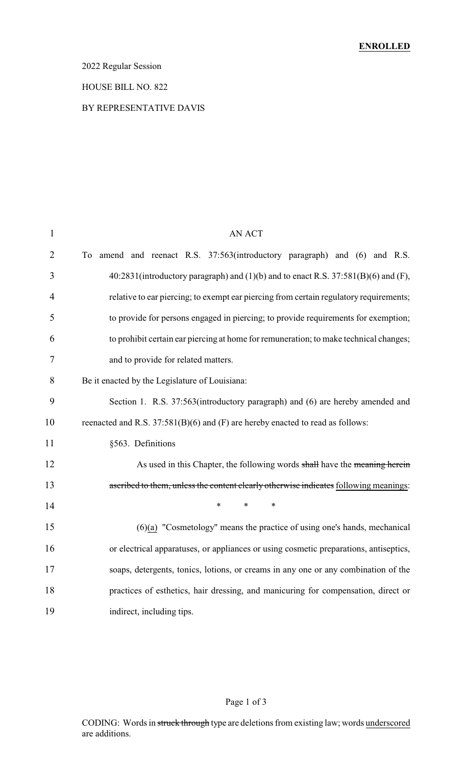### 2022 Regular Session

#### HOUSE BILL NO. 822

### BY REPRESENTATIVE DAVIS

| $\mathbf{1}$   | <b>AN ACT</b>                                                                           |
|----------------|-----------------------------------------------------------------------------------------|
| $\overline{2}$ | To amend and reenact R.S. 37:563(introductory paragraph) and (6) and R.S.               |
| 3              | $40:2831$ (introductory paragraph) and (1)(b) and to enact R.S. $37:581(B)(6)$ and (F), |
| 4              | relative to ear piercing; to exempt ear piercing from certain regulatory requirements;  |
| 5              | to provide for persons engaged in piercing; to provide requirements for exemption;      |
| 6              | to prohibit certain ear piercing at home for remuneration; to make technical changes;   |
| 7              | and to provide for related matters.                                                     |
| 8              | Be it enacted by the Legislature of Louisiana:                                          |
| 9              | Section 1. R.S. 37:563(introductory paragraph) and (6) are hereby amended and           |
| 10             | reenacted and R.S. 37:581(B)(6) and (F) are hereby enacted to read as follows:          |
| 11             | §563. Definitions                                                                       |
| 12             | As used in this Chapter, the following words shall have the meaning herein              |
| 13             | ascribed to them, unless the content clearly otherwise indicates following meanings:    |
| 14             | $\ast$<br>$\ast$<br>∗                                                                   |
| 15             | $(6)(a)$ "Cosmetology" means the practice of using one's hands, mechanical              |
| 16             | or electrical apparatuses, or appliances or using cosmetic preparations, antiseptics,   |
| 17             | soaps, detergents, tonics, lotions, or creams in any one or any combination of the      |
| 18             | practices of esthetics, hair dressing, and manicuring for compensation, direct or       |
| 19             | indirect, including tips.                                                               |

# Page 1 of 3

CODING: Words in struck through type are deletions from existing law; words underscored are additions.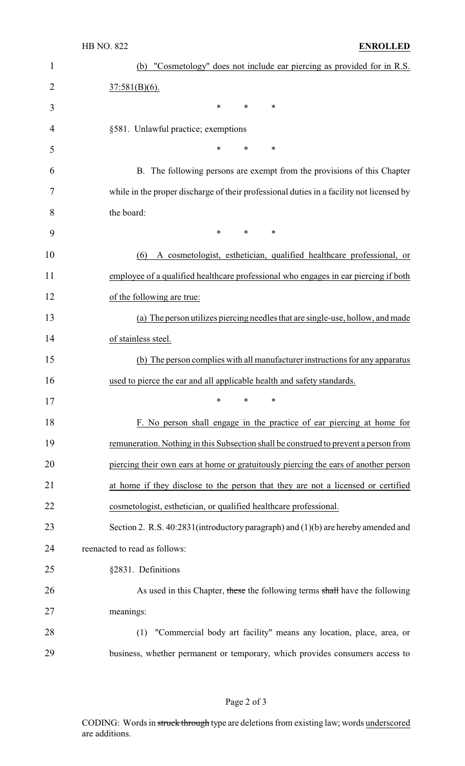| $\mathbf{1}$   | "Cosmetology" does not include ear piercing as provided for in R.S.<br>(b)               |
|----------------|------------------------------------------------------------------------------------------|
| $\overline{2}$ | $37:581(B)(6)$ .                                                                         |
| 3              | $\ast$<br>∗<br>$\ast$                                                                    |
| 4              | §581. Unlawful practice; exemptions                                                      |
| 5              | *<br>*<br>∗                                                                              |
| 6              | B. The following persons are exempt from the provisions of this Chapter                  |
| 7              | while in the proper discharge of their professional duties in a facility not licensed by |
| 8              | the board:                                                                               |
| 9              | $\ast$<br>$\ast$<br>$\ast$                                                               |
| 10             | A cosmetologist, esthetician, qualified healthcare professional, or<br>(6)               |
| 11             | employee of a qualified healthcare professional who engages in ear piercing if both      |
| 12             | of the following are true:                                                               |
| 13             | (a) The person utilizes piercing needles that are single-use, hollow, and made           |
| 14             | of stainless steel.                                                                      |
| 15             | (b) The person complies with all manufacturer instructions for any apparatus             |
| 16             | used to pierce the ear and all applicable health and safety standards.                   |
| 17             | ∗<br>∗<br>∗                                                                              |
| 18             | F. No person shall engage in the practice of ear piercing at home for                    |
| 19             | remuneration. Nothing in this Subsection shall be construed to prevent a person from     |
| 20             | piercing their own ears at home or gratuitously piercing the ears of another person      |
| 21             | at home if they disclose to the person that they are not a licensed or certified         |
| 22             | cosmetologist, esthetician, or qualified healthcare professional.                        |
| 23             | Section 2. R.S. 40:2831(introductory paragraph) and (1)(b) are hereby amended and        |
| 24             | reenacted to read as follows:                                                            |
| 25             | §2831. Definitions                                                                       |
| 26             | As used in this Chapter, these the following terms shall have the following              |
| 27             | meanings:                                                                                |
| 28             | "Commercial body art facility" means any location, place, area, or<br>(1)                |
| 29             | business, whether permanent or temporary, which provides consumers access to             |